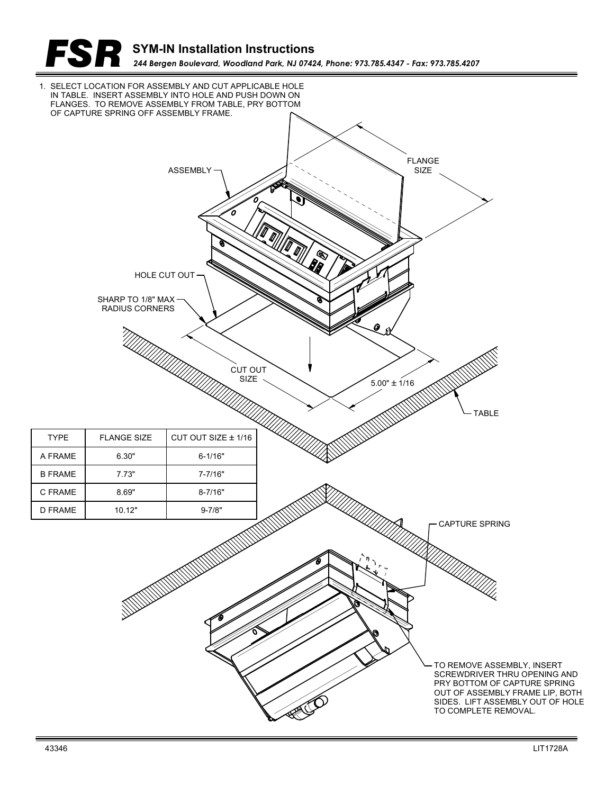